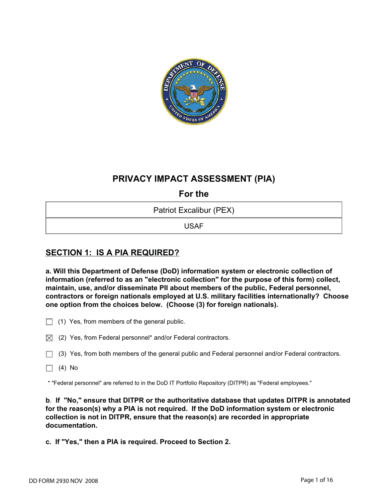

# **PRIVACY IMPACT ASSESSMENT (PIA)**

**For the** 

Patriot Excalibur (PEX)

USAF

# **SECTION 1: IS A PIA REQUIRED?**

**a. Will this Department of Defense (DoD) information system or electronic collection of information (referred to as an "electronic collection" for the purpose of this form) collect, maintain, use, and/or disseminate PII about members of the public, Federal personnel, contractors or foreign nationals employed at U.S. military facilities internationally? Choose one option from the choices below. (Choose (3) for foreign nationals).**

- $\Box$  (1) Yes, from members of the general public.
- $\boxtimes$  (2) Yes, from Federal personnel\* and/or Federal contractors.
- $\Box$  (3) Yes, from both members of the general public and Federal personnel and/or Federal contractors.
- $\Box$  (4) No

\* "Federal personnel" are referred to in the DoD IT Portfolio Repository (DITPR) as "Federal employees."

**b**. **If "No," ensure that DITPR or the authoritative database that updates DITPR is annotated for the reason(s) why a PIA is not required. If the DoD information system or electronic collection is not in DITPR, ensure that the reason(s) are recorded in appropriate documentation.** 

**c. If "Yes," then a PIA is required. Proceed to Section 2.**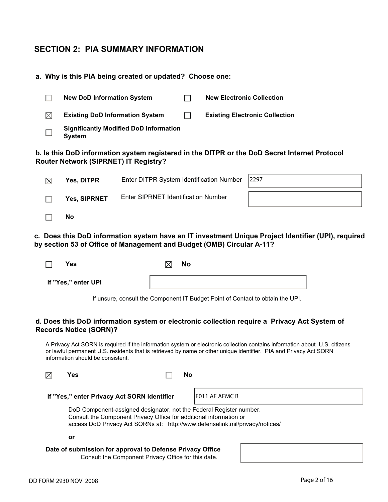## **SECTION 2: PIA SUMMARY INFORMATION**

## **a. Why is this PIA being created or updated? Choose one:**

|             | <b>New DoD Information System</b>                              |  | <b>New Electronic Collection</b>      |
|-------------|----------------------------------------------------------------|--|---------------------------------------|
| $\boxtimes$ | <b>Existing DoD Information System</b>                         |  | <b>Existing Electronic Collection</b> |
|             | <b>Significantly Modified DoD Information</b><br><b>System</b> |  |                                       |

## **b. Is this DoD information system registered in the DITPR or the DoD Secret Internet Protocol Router Network (SIPRNET) IT Registry?**

| $\boxtimes$ | <b>Yes, DITPR</b> | Enter DITPR System Identification Number 2297 |  |
|-------------|-------------------|-----------------------------------------------|--|
|             | Yes, SIPRNET      | <b>Enter SIPRNET Identification Number</b>    |  |
|             | No                |                                               |  |

## **c. Does this DoD information system have an IT investment Unique Project Identifier (UPI), required by section 53 of Office of Management and Budget (OMB) Circular A-11?**

| Yes                 | <b>No</b><br>IX. |
|---------------------|------------------|
| If "Yes," enter UPI |                  |

If unsure, consult the Component IT Budget Point of Contact to obtain the UPI.

## **d. Does this DoD information system or electronic collection require a Privacy Act System of Records Notice (SORN)?**

A Privacy Act SORN is required if the information system or electronic collection contains information about U.S. citizens or lawful permanent U.S. residents that is retrieved by name or other unique identifier. PIA and Privacy Act SORN information should be consistent.

**If "Yes," enter Privacy Act SORN Identifier** F011 AF AFMC B

 DoD Component-assigned designator, not the Federal Register number. Consult the Component Privacy Office for additional information or access DoD Privacy Act SORNs at: http://www.defenselink.mil/privacy/notices/

**or** 

## **Date of submission for approval to Defense Privacy Office**

Consult the Component Privacy Office for this date.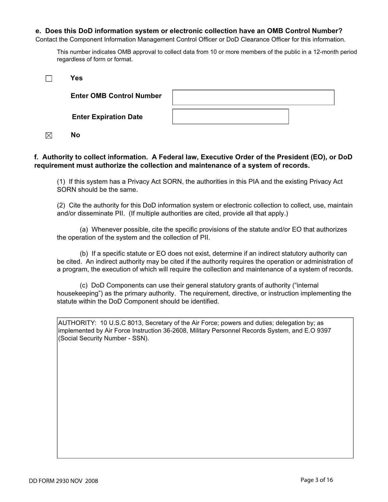#### **e. Does this DoD information system or electronic collection have an OMB Control Number?**

Contact the Component Information Management Control Officer or DoD Clearance Officer for this information.

This number indicates OMB approval to collect data from 10 or more members of the public in a 12-month period regardless of form or format.

| Yes                             |  |
|---------------------------------|--|
| <b>Enter OMB Control Number</b> |  |
| <b>Enter Expiration Date</b>    |  |

 $\boxtimes$ **No**

## **f. Authority to collect information. A Federal law, Executive Order of the President (EO), or DoD requirement must authorize the collection and maintenance of a system of records.**

(1) If this system has a Privacy Act SORN, the authorities in this PIA and the existing Privacy Act SORN should be the same.

(2) Cite the authority for this DoD information system or electronic collection to collect, use, maintain and/or disseminate PII. (If multiple authorities are cited, provide all that apply.)

 (a) Whenever possible, cite the specific provisions of the statute and/or EO that authorizes the operation of the system and the collection of PII.

(b) If a specific statute or EO does not exist, determine if an indirect statutory authority can be cited. An indirect authority may be cited if the authority requires the operation or administration of a program, the execution of which will require the collection and maintenance of a system of records.

 (c) DoD Components can use their general statutory grants of authority ("internal housekeeping") as the primary authority. The requirement, directive, or instruction implementing the statute within the DoD Component should be identified.

AUTHORITY: 10 U.S.C 8013, Secretary of the Air Force; powers and duties; delegation by; as implemented by Air Force Instruction 36-2608, Military Personnel Records System, and E.O 9397 (Social Security Number - SSN).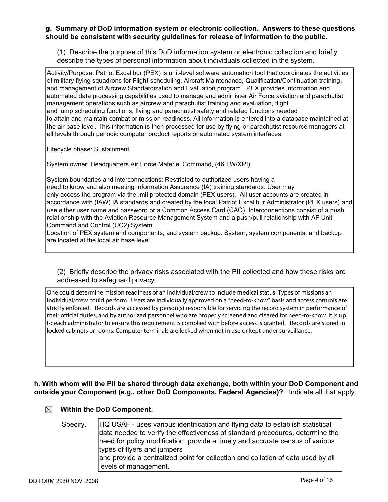## **g. Summary of DoD information system or electronic collection. Answers to these questions should be consistent with security guidelines for release of information to the public.**

(1) Describe the purpose of this DoD information system or electronic collection and briefly describe the types of personal information about individuals collected in the system.

Activity/Purpose: Patriot Excalibur (PEX) is unit-level software automation tool that coordinates the activities of military flying squadrons for Flight scheduling, Aircraft Maintenance, Qualification/Continuation training, and management of Aircrew Standardization and Evaluation program. PEX provides information and automated data processing capabilities used to manage and administer Air Force aviation and parachutist management operations such as aircrew and parachutist training and evaluation, flight and jump scheduling functions, flying and parachutist safety and related functions needed to attain and maintain combat or mission readiness. All information is entered into a database maintained at the air base level. This information is then processed for use by flying or parachutist resource managers at all levels through periodic computer product reports or automated system interfaces.

Lifecycle phase: Sustainment.

System owner: Headquarters Air Force Materiel Command, (46 TW/XPI).

System boundaries and interconnections: Restricted to authorized users having a need to know and also meeting Information Assurance (IA) training standards. User may only access the program via the .mil protected domain (PEX users). All user accounts are created in accordance with (IAW) IA standards and created by the local Patriot Excalibur Administrator (PEX users) and use either user name and password or a Common Access Card (CAC). Interconnections consist of a push relationship with the Aviation Resource Management System and a push/pull relationship with AF Unit Command and Control (UC2) System.

Location of PEX system and components, and system backup: System, system components, and backup are located at the local air base level.

(2) Briefly describe the privacy risks associated with the PII collected and how these risks are addressed to safeguard privacy.

One could determine mission readiness of an individual/crew to include medical status. Types of missions an individual/crew could perform. Users are individually approved on a "need-to-know" basis and access controls are strictly enforced. Records are accessed by person(s) responsible for servicing the record system in performance of their official duties, and by authorized personnel who are properly screened and cleared for need-to-know. It is up to each administrator to ensure this requirement is complied with before access is granted. Records are stored in locked cabinets or rooms. Computer terminals are locked when not in use or kept under surveillance.

## **h. With whom will the PII be shared through data exchange, both within your DoD Component and outside your Component (e.g., other DoD Components, Federal Agencies)?** Indicate all that apply.

## **Within the DoD Component.**

## Specify. HQ USAF - uses various identification and flying data to establish statistical data needed to verify the effectiveness of standard procedures, determine the need for policy modification, provide a timely and accurate census of various types of flyers and jumpers and provide a centralized point for collection and collation of data used by all levels of management.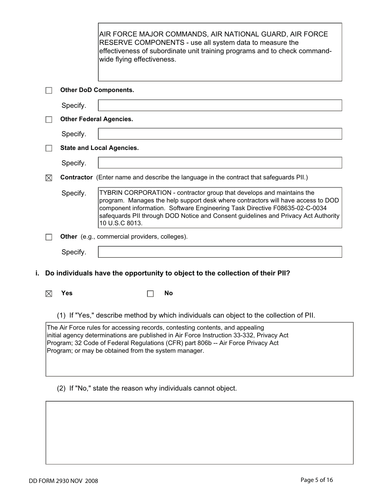|    |                                                                                                                                                                                                                                                               |                              | AIR FORCE MAJOR COMMANDS, AIR NATIONAL GUARD, AIR FORCE<br>RESERVE COMPONENTS - use all system data to measure the<br>effectiveness of subordinate unit training programs and to check command-<br>wide flying effectiveness.                                                                                                                    |  |  |
|----|---------------------------------------------------------------------------------------------------------------------------------------------------------------------------------------------------------------------------------------------------------------|------------------------------|--------------------------------------------------------------------------------------------------------------------------------------------------------------------------------------------------------------------------------------------------------------------------------------------------------------------------------------------------|--|--|
|    |                                                                                                                                                                                                                                                               | <b>Other DoD Components.</b> |                                                                                                                                                                                                                                                                                                                                                  |  |  |
|    |                                                                                                                                                                                                                                                               | Specify.                     |                                                                                                                                                                                                                                                                                                                                                  |  |  |
|    |                                                                                                                                                                                                                                                               |                              | <b>Other Federal Agencies.</b>                                                                                                                                                                                                                                                                                                                   |  |  |
|    |                                                                                                                                                                                                                                                               | Specify.                     |                                                                                                                                                                                                                                                                                                                                                  |  |  |
|    |                                                                                                                                                                                                                                                               |                              | <b>State and Local Agencies.</b>                                                                                                                                                                                                                                                                                                                 |  |  |
|    |                                                                                                                                                                                                                                                               | Specify.                     |                                                                                                                                                                                                                                                                                                                                                  |  |  |
|    | $\boxtimes$                                                                                                                                                                                                                                                   |                              | <b>Contractor</b> (Enter name and describe the language in the contract that safeguards PII.)                                                                                                                                                                                                                                                    |  |  |
|    |                                                                                                                                                                                                                                                               | Specify.                     | TYBRIN CORPORATION - contractor group that develops and maintains the<br>program. Manages the help support desk where contractors will have access to DOD<br>component information. Software Engineering Task Directive F08635-02-C-0034<br>safequards PII through DOD Notice and Consent guidelines and Privacy Act Authority<br>10 U.S.C 8013. |  |  |
|    |                                                                                                                                                                                                                                                               |                              | Other (e.g., commercial providers, colleges).                                                                                                                                                                                                                                                                                                    |  |  |
|    |                                                                                                                                                                                                                                                               | Specify.                     |                                                                                                                                                                                                                                                                                                                                                  |  |  |
| i. |                                                                                                                                                                                                                                                               |                              | Do individuals have the opportunity to object to the collection of their PII?                                                                                                                                                                                                                                                                    |  |  |
|    | $\boxtimes$                                                                                                                                                                                                                                                   | <b>Yes</b>                   | No                                                                                                                                                                                                                                                                                                                                               |  |  |
|    |                                                                                                                                                                                                                                                               |                              | (1) If "Yes," describe method by which individuals can object to the collection of PII.                                                                                                                                                                                                                                                          |  |  |
|    | The Air Force rules for accessing records, contesting contents, and appealing<br>initial agency determinations are published in Air Force Instruction 33-332, Privacy Act<br>Program; 32 Code of Federal Regulations (CFR) part 806b -- Air Force Privacy Act |                              |                                                                                                                                                                                                                                                                                                                                                  |  |  |

Program; or may be obtained from the system manager.

(2) If "No," state the reason why individuals cannot object.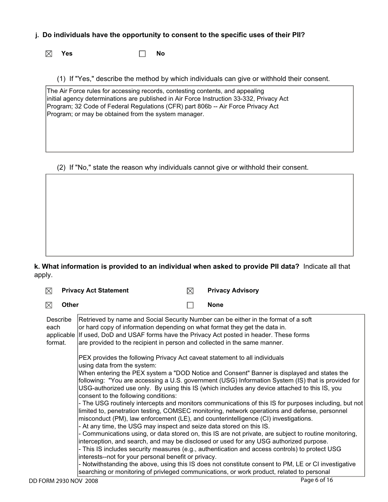## **j. Do individuals have the opportunity to consent to the specific uses of their PII?**

 $\boxtimes$ **Yes No** 

(1) If "Yes," describe the method by which individuals can give or withhold their consent.

The Air Force rules for accessing records, contesting contents, and appealing initial agency determinations are published in Air Force Instruction 33-332, Privacy Act Program; 32 Code of Federal Regulations (CFR) part 806b -- Air Force Privacy Act Program; or may be obtained from the system manager.

(2) If "No," state the reason why individuals cannot give or withhold their consent.

**k. What information is provided to an individual when asked to provide PII data?** Indicate all that apply.

| $\boxtimes$                               | <b>Privacy Act Statement</b>                                                                                                                                                                                                                                                      | $\boxtimes$ | <b>Privacy Advisory</b>                                                                                                                                                                                                                                                                                                                                                                                                                                                                                                                                                                                                                                                                                                                                                                                                                                                                                                                                                                                                                                                                                       |
|-------------------------------------------|-----------------------------------------------------------------------------------------------------------------------------------------------------------------------------------------------------------------------------------------------------------------------------------|-------------|---------------------------------------------------------------------------------------------------------------------------------------------------------------------------------------------------------------------------------------------------------------------------------------------------------------------------------------------------------------------------------------------------------------------------------------------------------------------------------------------------------------------------------------------------------------------------------------------------------------------------------------------------------------------------------------------------------------------------------------------------------------------------------------------------------------------------------------------------------------------------------------------------------------------------------------------------------------------------------------------------------------------------------------------------------------------------------------------------------------|
| $\boxtimes$<br><b>Other</b>               |                                                                                                                                                                                                                                                                                   |             | <b>None</b>                                                                                                                                                                                                                                                                                                                                                                                                                                                                                                                                                                                                                                                                                                                                                                                                                                                                                                                                                                                                                                                                                                   |
| Describe<br>each<br>applicable<br>format. | or hard copy of information depending on what format they get the data in.<br>are provided to the recipient in person and collected in the same manner.                                                                                                                           |             | Retrieved by name and Social Security Number can be either in the format of a soft<br>If used, DoD and USAF forms have the Privacy Act posted in header. These forms                                                                                                                                                                                                                                                                                                                                                                                                                                                                                                                                                                                                                                                                                                                                                                                                                                                                                                                                          |
|                                           | PEX provides the following Privacy Act caveat statement to all individuals<br>using data from the system:<br>consent to the following conditions:<br>- At any time, the USG may inspect and seize data stored on this IS.<br>interests--not for your personal benefit or privacy. |             | When entering the PEX system a "DOD Notice and Consent" Banner is displayed and states the<br>following: "You are accessing a U.S. government (USG) Information System (IS) that is provided for<br>USG-authorized use only. By using this IS (which includes any device attached to this IS, you<br>- The USG routinely intercepts and monitors communications of this IS for purposes including, but not<br>limited to, penetration testing, COMSEC monitoring, network operations and defense, personnel<br>misconduct (PM), law enforcement (LE), and counterintelligence (CI) investigations.<br>- Communications using, or data stored on, this IS are not private, are subject to routine monitoring,<br>interception, and search, and may be disclosed or used for any USG authorized purpose.<br>- This IS includes security measures (e.g., authentication and access controls) to protect USG<br>- Notwithstanding the above, using this IS does not constitute consent to PM, LE or CI investigative<br>searching or monitoring of privleged communications, or work product, related to personal |
| DD FORM 2930 NOV 2008                     |                                                                                                                                                                                                                                                                                   |             | Page 6 of 16                                                                                                                                                                                                                                                                                                                                                                                                                                                                                                                                                                                                                                                                                                                                                                                                                                                                                                                                                                                                                                                                                                  |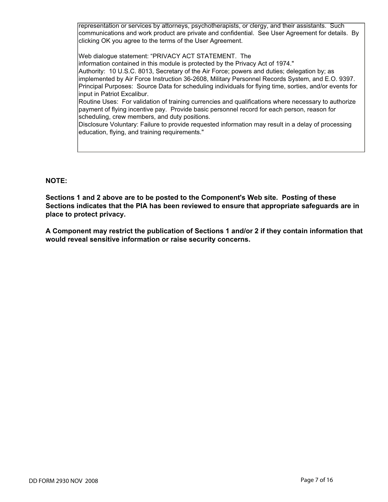representation or services by attorneys, psychotherapists, or clergy, and their assistants. Such communications and work product are private and confidential. See User Agreement for details. By clicking OK you agree to the terms of the User Agreement.

Web dialogue statement: "PRIVACY ACT STATEMENT. The information contained in this module is protected by the Privacy Act of 1974." Authority: 10 U.S.C. 8013, Secretary of the Air Force; powers and duties; delegation by; as implemented by Air Force Instruction 36-2608, Military Personnel Records System, and E.O. 9397. Principal Purposes: Source Data for scheduling individuals for flying time, sorties, and/or events for input in Patriot Excalibur. Routine Uses: For validation of training currencies and qualifications where necessary to authorize payment of flying incentive pay. Provide basic personnel record for each person, reason for

scheduling, crew members, and duty positions.

Disclosure Voluntary: Failure to provide requested information may result in a delay of processing education, flying, and training requirements."

## **NOTE:**

**Sections 1 and 2 above are to be posted to the Component's Web site. Posting of these Sections indicates that the PIA has been reviewed to ensure that appropriate safeguards are in place to protect privacy.** 

**A Component may restrict the publication of Sections 1 and/or 2 if they contain information that would reveal sensitive information or raise security concerns.**